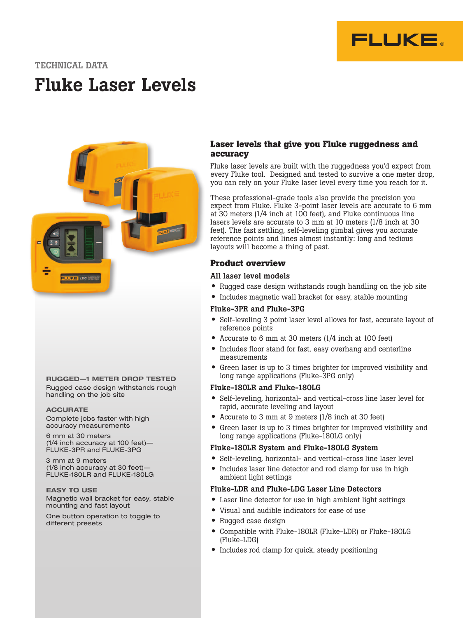

# TECHNICAL DATA

# Fluke Laser Levels



RUGGED—1 METER DROP TESTED Rugged case design withstands rough handling on the job site

#### **ACCURATE**

Complete jobs faster with high accuracy measurements

6 mm at 30 meters (1/4 inch accuracy at 100 feet)— FLUKE-3PR and FLUKE-3PG

3 mm at 9 meters (1/8 inch accuracy at 30 feet)— FLUKE-180LR and FLUKE-180LG

EASY TO USE Magnetic wall bracket for easy, stable mounting and fast layout

One button operation to toggle to different presets

### **Laser levels that give you Fluke ruggedness and accuracy**

Fluke laser levels are built with the ruggedness you'd expect from every Fluke tool. Designed and tested to survive a one meter drop, you can rely on your Fluke laser level every time you reach for it.

These professional-grade tools also provide the precision you expect from Fluke. Fluke 3-point laser levels are accurate to 6 mm at 30 meters (1/4 inch at 100 feet), and Fluke continuous line lasers levels are accurate to 3 mm at 10 meters (1/8 inch at 30 feet). The fast settling, self-leveling gimbal gives you accurate reference points and lines almost instantly: long and tedious layouts will become a thing of past.

# **Product overview**

#### All laser level models

- Rugged case design withstands rough handling on the job site
- Includes magnetic wall bracket for easy, stable mounting

#### Fluke-3PR and Fluke-3PG

- Self-leveling 3 point laser level allows for fast, accurate layout of reference points
- Accurate to 6 mm at 30 meters (1/4 inch at 100 feet)
- Includes floor stand for fast, easy overhang and centerline measurements
- Green laser is up to 3 times brighter for improved visibility and long range applications (Fluke-3PG only)

#### Fluke-180LR and Fluke-180LG

- Self-leveling, horizontal- and vertical-cross line laser level for rapid, accurate leveling and layout
- Accurate to 3 mm at 9 meters (1/8 inch at 30 feet)
- Green laser is up to 3 times brighter for improved visibility and long range applications (Fluke-180LG only)

#### Fluke-180LR System and Fluke-180LG System

- Self-leveling, horizontal- and vertical-cross line laser level
- Includes laser line detector and rod clamp for use in high ambient light settings

#### Fluke-LDR and Fluke-LDG Laser Line Detectors

- Laser line detector for use in high ambient light settings
- Visual and audible indicators for ease of use
- Rugged case design
- Compatible with Fluke-180LR (Fluke-LDR) or Fluke-180LG (Fluke-LDG)
- Includes rod clamp for quick, steady positioning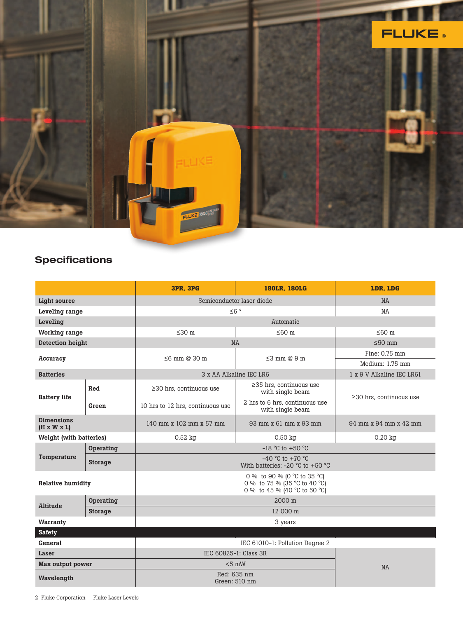

# **Specifications**

|                                              |                | <b>3PR. 3PG</b>                                                                             | <b>180LR. 180LG</b>                                | LDR. LDG                      |
|----------------------------------------------|----------------|---------------------------------------------------------------------------------------------|----------------------------------------------------|-------------------------------|
| <b>Light source</b>                          |                | Semiconductor laser diode                                                                   |                                                    | <b>NA</b>                     |
| Leveling range                               |                | $\leq 6$ °                                                                                  |                                                    | NA                            |
| Leveling                                     |                | Automatic                                                                                   |                                                    |                               |
| <b>Working range</b>                         |                | $\leq 30$ m                                                                                 | $≤60$ m                                            | $≤60$ m                       |
| <b>Detection height</b>                      |                | <b>NA</b>                                                                                   |                                                    | $\leq$ 50 mm                  |
| Accuracy                                     |                | $\leq$ 6 mm @ 30 m                                                                          | $\leq$ 3 mm @ 9 m                                  | Fine: 0.75 mm                 |
|                                              |                |                                                                                             |                                                    | Medium: 1.75 mm               |
| <b>Batteries</b>                             |                | 3 x AA Alkaline IEC LR6                                                                     |                                                    | 1 x 9 V Alkaline IEC LR61     |
| <b>Battery life</b>                          | Red            | $\geq$ 30 hrs, continuous use                                                               | $\geq$ 35 hrs, continuous use<br>with single beam  | $\geq$ 30 hrs. continuous use |
|                                              | Green          | 10 hrs to 12 hrs, continuous use                                                            | 2 hrs to 6 hrs, continuous use<br>with single beam |                               |
| <b>Dimensions</b><br>$(H \times W \times L)$ |                | 140 mm x 102 mm x 57 mm                                                                     | 93 mm x 61 mm x 93 mm                              | 94 mm x 94 mm x 42 mm         |
| <b>Weight (with batteries)</b>               |                | $0.52$ kg                                                                                   | $0.50$ kg                                          | $0.20$ kg                     |
| Temperature                                  | Operating      |                                                                                             |                                                    |                               |
|                                              | <b>Storage</b> | $-40$ °C to $+70$ °C<br>With batteries: $-20$ °C to $+50$ °C                                |                                                    |                               |
| <b>Relative humidity</b>                     |                | 0 % to 90 % (0 °C to 35 °C)<br>0 % to 75 % (35 °C to 40 °C)<br>0 % to 45 % (40 °C to 50 °C) |                                                    |                               |
| Altitude                                     | Operating      | 2000 m                                                                                      |                                                    |                               |
|                                              | <b>Storage</b> |                                                                                             |                                                    |                               |
| Warranty                                     |                | 3 years                                                                                     |                                                    |                               |
| <b>Safety</b>                                |                |                                                                                             |                                                    |                               |
| General                                      |                |                                                                                             |                                                    |                               |
| Laser                                        |                | IEC 60825-1: Class 3R                                                                       |                                                    |                               |
| Max output power                             |                | $< 5$ mW                                                                                    |                                                    | <b>NA</b>                     |
| Wavelength                                   |                | Red: 635 nm<br>Green: 510 nm                                                                |                                                    |                               |